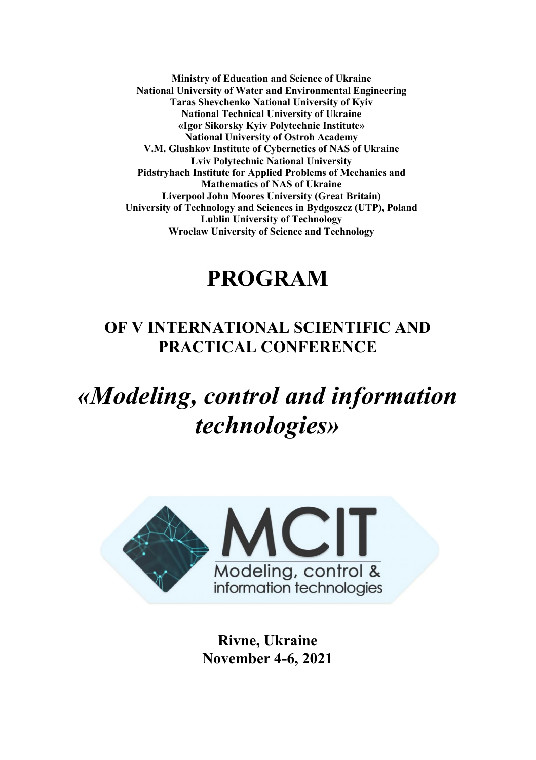**Ministry of Education and Science of Ukraine National University of Water and Environmental Engineering Taras Shevchenko National University of Kyiv National Technical University of Ukraine «Igor Sikorsky Kyiv Polytechnic Institute» National University of Ostroh Academy V.M. Glushkov Institute of Cybernetics of NAS of Ukraine Lviv Polytechnic National University Pidstryhach Institute for Applied Problems of Mechanics and Mathematics of NAS of Ukraine Liverpool John Moores University (Great Britain) University of Technology and Sciences in Bydgoszcz (UTP), Poland Lublin University of Technology Wroclaw University of Science and Technology**

# **PROGRAM**

# **OF V INTERNATIONAL SCIENTIFIC AND PRACTICAL CONFERENCE**

*«Modeling, control and information technologies»*



**Rivne, Ukraine November 4-6, 2021**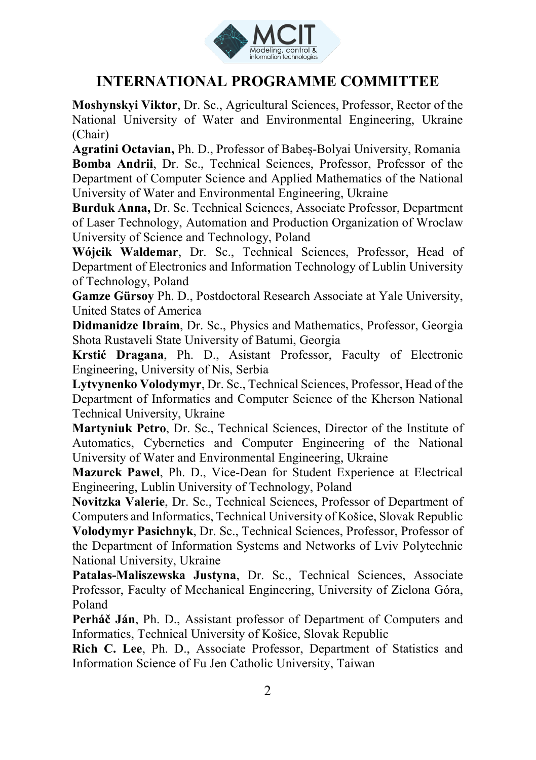

# **INTERNATIONAL PROGRAMME COMMITTEE**

**Moshynskyi Viktor**, Dr. Sc., Agricultural Sciences, Professor, Rector of the National University of Water and Environmental Engineering, Ukraine (Chair)

**Agratini Octavian,** Ph. D., Professor of Babeș-Bolyai University, Romania **Bomba Andrii**, Dr. Sc., Technical Sciences, Professor, Professor of the Department of Computer Science and Applied Mathematics of the National University of Water and Environmental Engineering, Ukraine

**Burduk Anna,** Dr. Sc. Technical Sciences, Associate Professor, Department of Laser Technology, Automation and Production Organization of Wroclaw University of Science and Technology, Poland

**Wójcik Waldemar**, Dr. Sc., Technical Sciences, Professor, Head of Department of Electronics and Information Technology of Lublin University of Technology, Poland

**Gamze Gürsoy** Ph. D., Postdoctoral Research Associate at Yale University, United States of America

**Didmanidze Ibraim**, Dr. Sc., Physics and Mathematics, Professor, Georgia Shota Rustaveli State University of Batumi, Georgia

**Krstić Dragana**, Ph. D., Asistant Professor, Faculty of Electronic Engineering, University of Nis, Serbia

**Lytvynenko Volodymyr**, Dr. Sc., Technical Sciences, Professor, Head of the Department of Informatics and Computer Science of the Kherson National Technical University, Ukraine

**Martyniuk Petro**, Dr. Sc., Technical Sciences, Director of the Institute of Automatics, Cybernetics and Computer Engineering of the National University of Water and Environmental Engineering, Ukraine

**Mazurek Paweł**, Ph. D., Vice-Dean for Student Experience at Electrical Engineering, Lublin University of Technology, Poland

**Novitzka Valerie**, Dr. Sc., Technical Sciences, Professor of Department of Computers and Informatics, Technical University of Košice, Slovak Republic **Volodymyr Pasichnyk**, Dr. Sc., Technical Sciences, Professor, Professor of the Department of Information Systems and Networks of Lviv Polytechnic National University, Ukraine

**Patalas-Maliszewska Justyna**, Dr. Sc., Technical Sciences, Associate Professor, Faculty of Mechanical Engineering, University of Zielona Góra, Poland

**Perháč Ján**, Ph. D., Assistant professor of Department of Computers and Informatics, Technical University of Košice, Slovak Republic

**Rich C. Lee**, Ph. D., Associate Professor, Department of Statistics and Information Science of Fu Jen Catholic University, Taiwan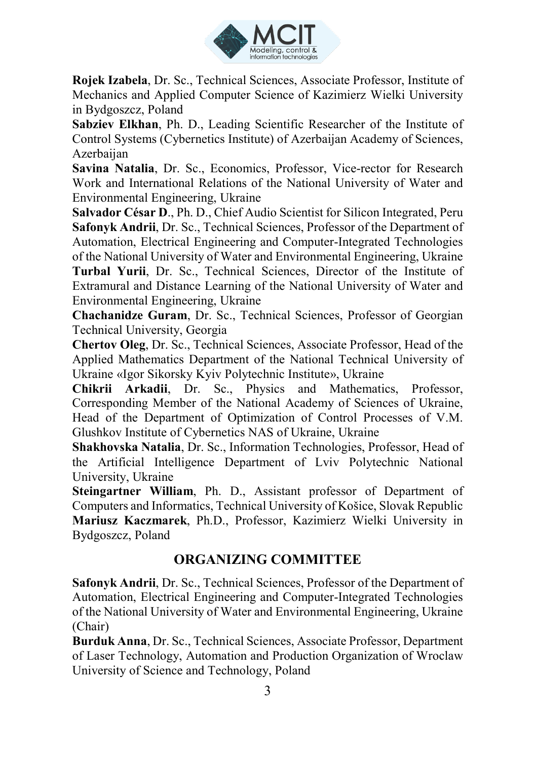

**Rojek Izabela**, Dr. Sc., Technical Sciences, Associate Professor, Institute of Mechanics and Applied Computer Science of Kazimierz Wielki University in Bydgoszcz, Poland

**Sabziev Elkhan**, Ph. D., Leading Scientific Researcher of the Institute of Control Systems (Cybernetics Institute) of Azerbaijan Academy of Sciences, Azerbaijan

**Savina Natalia**, Dr. Sc., Economics, Professor, Vice-rector for Research Work and International Relations of the National University of Water and Environmental Engineering, Ukraine

**Salvador César D**., Ph. D., Chief Audio Scientist for Silicon Integrated, Peru **Safonyk Andrii**, Dr. Sc., Technical Sciences, Professor of the Department of Automation, Electrical Engineering and Computer-Integrated Technologies of the National University of Water and Environmental Engineering, Ukraine **Turbal Yurii**, Dr. Sc., Technical Sciences, Director of the Institute of Extramural and Distance Learning of the National University of Water and Environmental Engineering, Ukraine

**Chachanidze Guram**, Dr. Sc., Technical Sciences, Professor of Georgian Technical University, Georgia

**Chertov Oleg**, Dr. Sc., Technical Sciences, Associate Professor, Head of the Applied Mathematics Department of the National Technical University of Ukraine «Igor Sikorsky Kyiv Polytechnic Institute», Ukraine

**Chikrii Arkadii**, Dr. Sc., Physics and Mathematics, Professor, Corresponding Member of the National Academy of Sciences of Ukraine, Head of the Department of Optimization of Control Processes of V.M. Glushkov Institute of Cybernetics NAS of Ukraine, Ukraine

**Shakhovska Natalia**, Dr. Sc., Information Technologies, Professor, Head of the Artificial Intelligence Department of Lviv Polytechnic National University, Ukraine

**Steingartner William**, Ph. D., Assistant professor of Department of Computers and Informatics, Technical University of Košice, Slovak Republic **Mariusz Kaczmarek**, Ph.D., Professor, Kazimierz Wielki University in Bydgoszcz, Poland

## **ORGANIZING COMMITTEE**

**Safonyk Andrii**, Dr. Sc., Technical Sciences, Professor of the Department of Automation, Electrical Engineering and Computer-Integrated Technologies of the National University of Water and Environmental Engineering, Ukraine (Chair)

**Burduk Anna**, Dr. Sc., Technical Sciences, Associate Professor, Department of Laser Technology, Automation and Production Organization of Wroclaw University of Science and Technology, Poland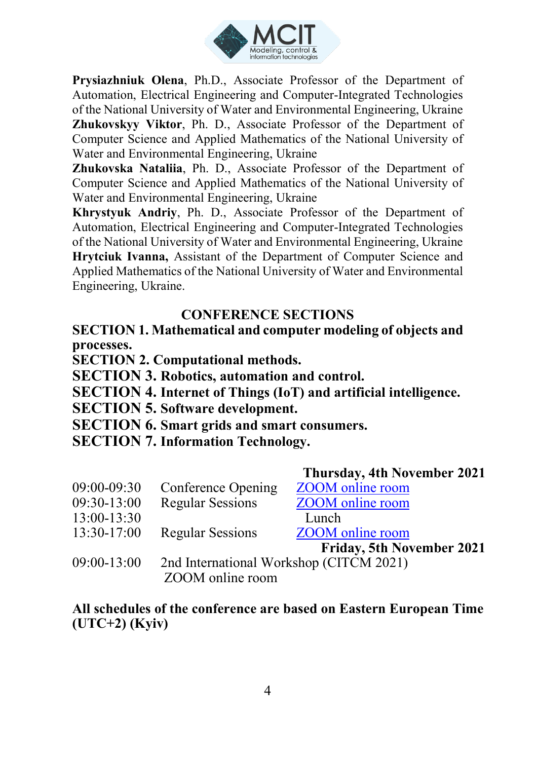

**Prysiazhniuk Olena**, Ph.D., Associate Professor of the Department of Automation, Electrical Engineering and Computer-Integrated Technologies of the National University of Water and Environmental Engineering, Ukraine **Zhukovskyy Viktor**, Ph. D., Associate Professor of the Department of Computer Science and Applied Mathematics of the National University of Water and Environmental Engineering, Ukraine

**Zhukovska Nataliia**, Ph. D., Associate Professor of the Department of Computer Science and Applied Mathematics of the National University of Water and Environmental Engineering, Ukraine

**Khrystyuk Аndriy**, Ph. D., Associate Professor of the Department of Automation, Electrical Engineering and Computer-Integrated Technologies of the National University of Water and Environmental Engineering, Ukraine **Hrytciuk Ivanna,** Assistant of the Department of Computer Science and Applied Mathematics of the National University of Water and Environmental Engineering, Ukraine.

## **CONFERENCE SECTIONS**

**SECTION 1. Mathematical and computer modeling of objects and processes.**

**SECTION 2. Computational methods.**

**SECTION 3. Robotics, automation and control.**

**SECTION 4. Internet of Things (IoT) and artificial intelligence.**

**SECTION 5. Software development.**

**SECTION 6. Smart grids and smart consumers.**

**SECTION 7. Information Technology.**

|               |                                         | <b>Thursday, 4th November 2021</b> |
|---------------|-----------------------------------------|------------------------------------|
| $09:00-09:30$ | Conference Opening                      | <b>ZOOM</b> online room            |
| 09:30-13:00   | <b>Regular Sessions</b>                 | <b>ZOOM</b> online room            |
| 13:00-13:30   |                                         | Lunch                              |
| 13:30-17:00   | <b>Regular Sessions</b>                 | ZOOM online room                   |
|               |                                         | Friday, 5th November 2021          |
| 09:00-13:00   | 2nd International Workshop (CITCM 2021) |                                    |
|               | ZOOM online room                        |                                    |

**All schedules of the conference are based on Eastern European Time (UTC+2) (Kyiv)**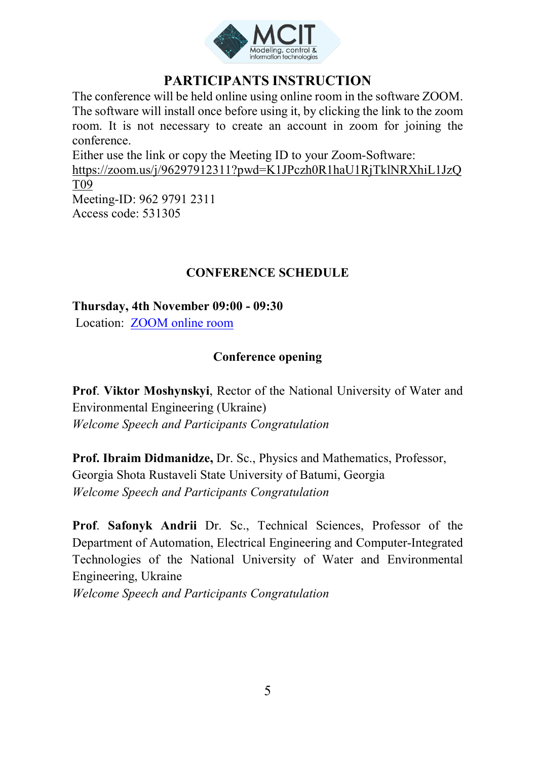

## **PARTICIPANTS INSTRUCTION**

The conference will be held online using online room in the software ZOOM. The software will install once before using it, by clicking the link to the zoom room. It is not necessary to create an account in zoom for joining the conference. Either use the link or copy the Meeting ID to your Zoom-Software:

https://zoom.us/j/96297912311?pwd=K1JPczh0R1haU1RjTklNRXhiL1JzQ T09 Meeting-ID: 962 9791 2311 Access code: 531305

#### **CONFERENCE SCHEDULE**

**Thursday, 4th November 09:00 - 09:30**

Location: [ZOOM online room](https://zoom.us/j/96297912311?pwd=K1JPczh0R1haU1RjTklNRXhiL1JzQT09)

#### **Conference opening**

**Prof**. **Viktor Moshynskyi**, Rector of the National University of Water and Environmental Engineering (Ukraine) *Welcome Speech and Participants Congratulation*

**Prof. Ibraim Didmanidze,** Dr. Sc., Physics and Mathematics, Professor, Georgia Shota Rustaveli State University of Batumi, Georgia *Welcome Speech and Participants Congratulation*

**Prof**. **Safonyk Andrii** Dr. Sc., Technical Sciences, Professor of the Department of Automation, Electrical Engineering and Computer-Integrated Technologies of the National University of Water and Environmental Engineering, Ukraine

*Welcome Speech and Participants Congratulation*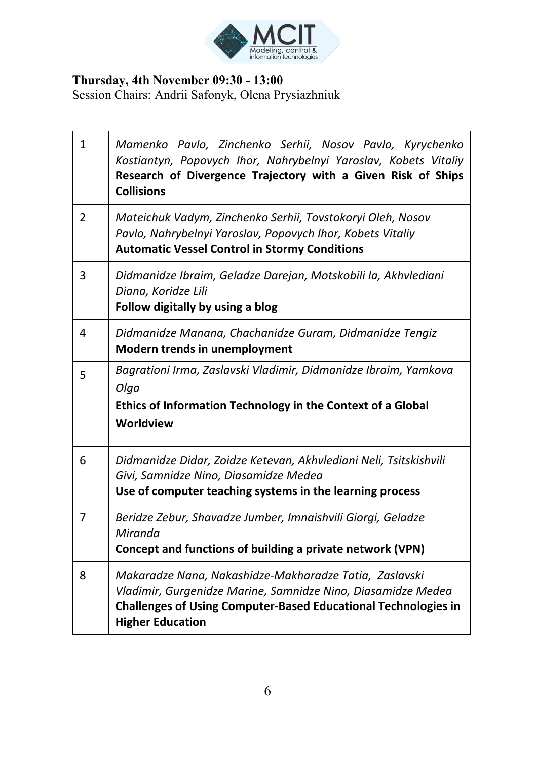

#### **Thursday, 4th November 09:30 - 13:00**

Session Chairs: Andrii Safonyk, Olena Prysiazhniuk

| 1 | Mamenko Pavlo, Zinchenko Serhii, Nosov Pavlo, Kyrychenko<br>Kostiantyn, Popovych Ihor, Nahrybelnyi Yaroslav, Kobets Vitaliy<br>Research of Divergence Trajectory with a Given Risk of Ships<br><b>Collisions</b>           |
|---|----------------------------------------------------------------------------------------------------------------------------------------------------------------------------------------------------------------------------|
| 2 | Mateichuk Vadym, Zinchenko Serhii, Tovstokoryi Oleh, Nosov<br>Pavlo, Nahrybelnyi Yaroslav, Popovych Ihor, Kobets Vitaliy<br><b>Automatic Vessel Control in Stormy Conditions</b>                                           |
| 3 | Didmanidze Ibraim, Geladze Darejan, Motskobili Ia, Akhvlediani<br>Diana, Koridze Lili<br>Follow digitally by using a blog                                                                                                  |
| 4 | Didmanidze Manana, Chachanidze Guram, Didmanidze Tengiz<br>Modern trends in unemployment                                                                                                                                   |
| 5 | Bagrationi Irma, Zaslavski Vladimir, Didmanidze Ibraim, Yamkova<br>Olga<br>Ethics of Information Technology in the Context of a Global<br>Worldview                                                                        |
| 6 | Didmanidze Didar, Zoidze Ketevan, Akhvlediani Neli, Tsitskishvili<br>Givi, Samnidze Nino, Diasamidze Medea<br>Use of computer teaching systems in the learning process                                                     |
| 7 | Beridze Zebur, Shavadze Jumber, Imnaishvili Giorgi, Geladze<br>Miranda<br>Concept and functions of building a private network (VPN)                                                                                        |
| 8 | Makaradze Nana, Nakashidze-Makharadze Tatia, Zaslavski<br>Vladimir, Gurgenidze Marine, Samnidze Nino, Diasamidze Medea<br><b>Challenges of Using Computer-Based Educational Technologies in</b><br><b>Higher Education</b> |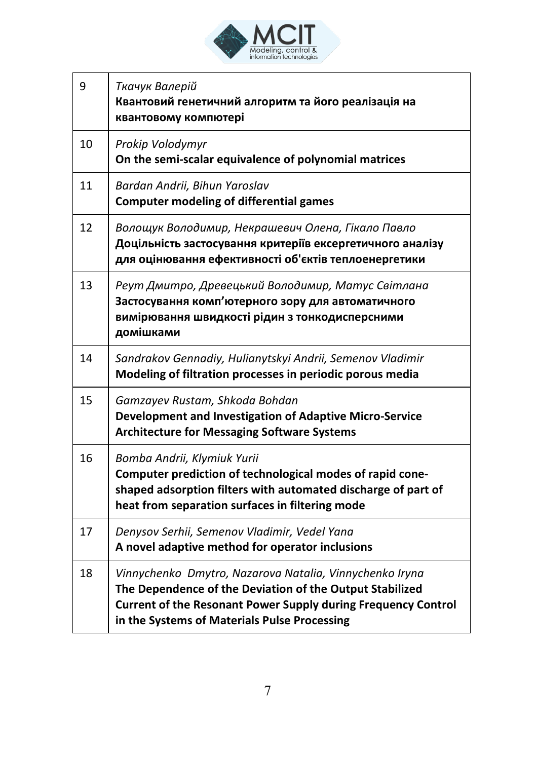

| 9  | Ткачук Валерій<br>Квантовий генетичний алгоритм та його реалізація на<br>квантовому компютері                                                                                                                                        |
|----|--------------------------------------------------------------------------------------------------------------------------------------------------------------------------------------------------------------------------------------|
| 10 | Prokip Volodymyr<br>On the semi-scalar equivalence of polynomial matrices                                                                                                                                                            |
| 11 | Bardan Andrii, Bihun Yaroslav<br><b>Computer modeling of differential games</b>                                                                                                                                                      |
| 12 | Волощук Володимир, Некрашевич Олена, Гікало Павло<br>Доцільність застосування критеріїв ексергетичного аналізу<br>для оцінювання ефективності об'єктів теплоенергетики                                                               |
| 13 | Реут Дмитро, Древецький Володимир, Матус Світлана<br>Застосування комп'ютерного зору для автоматичного<br>вимірювання швидкості рідин з тонкодисперсними<br>домішками                                                                |
| 14 | Sandrakov Gennadiy, Hulianytskyi Andrii, Semenov Vladimir<br>Modeling of filtration processes in periodic porous media                                                                                                               |
| 15 | Gamzayev Rustam, Shkoda Bohdan<br>Development and Investigation of Adaptive Micro-Service<br><b>Architecture for Messaging Software Systems</b>                                                                                      |
| 16 | Bomba Andrii, Klymiuk Yurii<br>Computer prediction of technological modes of rapid cone-<br>shaped adsorption filters with automated discharge of part of<br>heat from separation surfaces in filtering mode                         |
| 17 | Denysov Serhii, Semenov Vladimir, Vedel Yana<br>A novel adaptive method for operator inclusions                                                                                                                                      |
| 18 | Vinnychenko Dmytro, Nazarova Natalia, Vinnychenko Iryna<br>The Dependence of the Deviation of the Output Stabilized<br>Current of the Resonant Power Supply during Frequency Control<br>in the Systems of Materials Pulse Processing |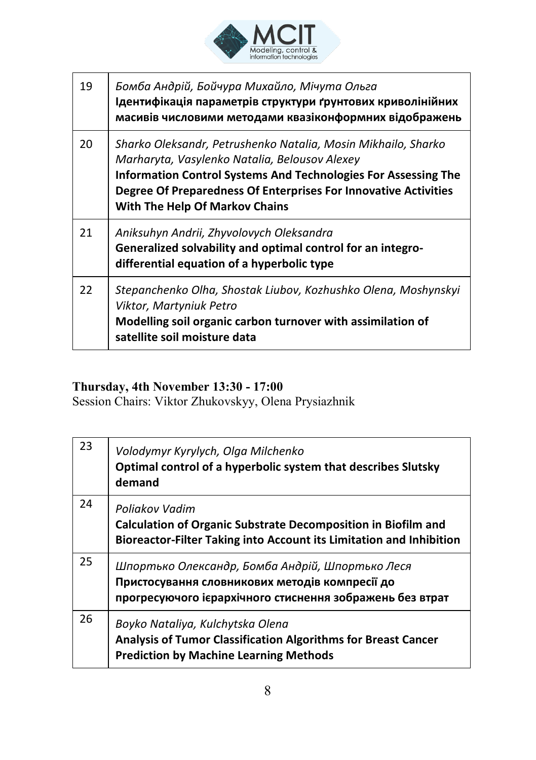

| 19 | Бомба Андрій, Бойчура Михайло, Мічута Ольга<br>Ідентифікація параметрів структури ґрунтових криволінійних<br>масивів числовими методами квазіконформних відображень                                                                                                                          |
|----|----------------------------------------------------------------------------------------------------------------------------------------------------------------------------------------------------------------------------------------------------------------------------------------------|
| 20 | Sharko Oleksandr, Petrushenko Natalia, Mosin Mikhailo, Sharko<br>Marharyta, Vasylenko Natalia, Belousov Alexey<br>Information Control Systems And Technologies For Assessing The<br>Degree Of Preparedness Of Enterprises For Innovative Activities<br><b>With The Help Of Markov Chains</b> |
| 21 | Aniksuhyn Andrii, Zhyvolovych Oleksandra<br>Generalized solvability and optimal control for an integro-<br>differential equation of a hyperbolic type                                                                                                                                        |
| 22 | Stepanchenko Olha, Shostak Liubov, Kozhushko Olena, Moshynskyi<br>Viktor, Martyniuk Petro<br>Modelling soil organic carbon turnover with assimilation of<br>satellite soil moisture data                                                                                                     |

## **Thursday, 4th November 13:30 - 17:00**

Session Chairs: Viktor Zhukovskyy, Olena Prysiazhnik

| 23 | Volodymyr Kyrylych, Olga Milchenko<br>Optimal control of a hyperbolic system that describes Slutsky<br>demand                                                 |
|----|---------------------------------------------------------------------------------------------------------------------------------------------------------------|
| 24 | Poliakov Vadim<br><b>Calculation of Organic Substrate Decomposition in Biofilm and</b><br>Bioreactor-Filter Taking into Account its Limitation and Inhibition |
| 25 | Шпортько Олександр, Бомба Андрій, Шпортько Леся<br>Пристосування словникових методів компресії до<br>прогресуючого ієрархічного стиснення зображень без втрат |
| 26 | Boyko Nataliya, Kulchytska Olena<br>Analysis of Tumor Classification Algorithms for Breast Cancer<br><b>Prediction by Machine Learning Methods</b>            |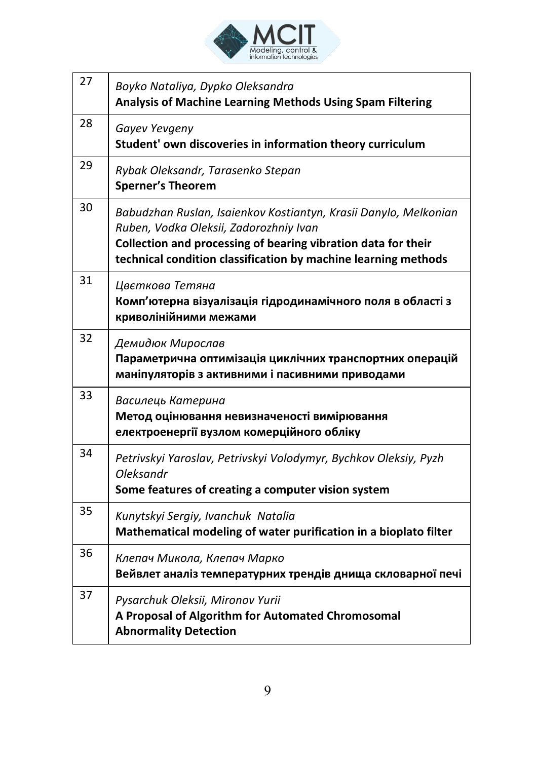

| 27 | Boyko Nataliya, Dypko Oleksandra<br>Analysis of Machine Learning Methods Using Spam Filtering                                                                                                                                                 |
|----|-----------------------------------------------------------------------------------------------------------------------------------------------------------------------------------------------------------------------------------------------|
| 28 | Gayev Yevgeny<br>Student' own discoveries in information theory curriculum                                                                                                                                                                    |
| 29 | Rybak Oleksandr, Tarasenko Stepan<br><b>Sperner's Theorem</b>                                                                                                                                                                                 |
| 30 | Babudzhan Ruslan, Isaienkov Kostiantyn, Krasii Danylo, Melkonian<br>Ruben, Vodka Oleksii, Zadorozhniy Ivan<br>Collection and processing of bearing vibration data for their<br>technical condition classification by machine learning methods |
| 31 | Цвєткова Тетяна<br>Комп'ютерна візуалізація гідродинамічного поля в області з<br>криволінійними межами                                                                                                                                        |
| 32 | Демидюк Мирослав<br>Параметрична оптимізація циклічних транспортних операцій<br>маніпуляторів з активними і пасивними приводами                                                                                                               |
| 33 | Василець Катерина<br>Метод оцінювання невизначеності вимірювання<br>електроенергії вузлом комерційного обліку                                                                                                                                 |
| 34 | Petrivskyi Yaroslav, Petrivskyi Volodymyr, Bychkov Oleksiy, Pyzh<br>Oleksandr<br>Some features of creating a computer vision system                                                                                                           |
| 35 | Kunytskyi Sergiy, Ivanchuk Natalia<br>Mathematical modeling of water purification in a bioplato filter                                                                                                                                        |
| 36 | Клепач Микола, Клепач Марко<br>Вейвлет аналіз температурних трендів днища скловарної печі                                                                                                                                                     |
| 37 | Pysarchuk Oleksii, Mironov Yurii<br>A Proposal of Algorithm for Automated Chromosomal<br><b>Abnormality Detection</b>                                                                                                                         |